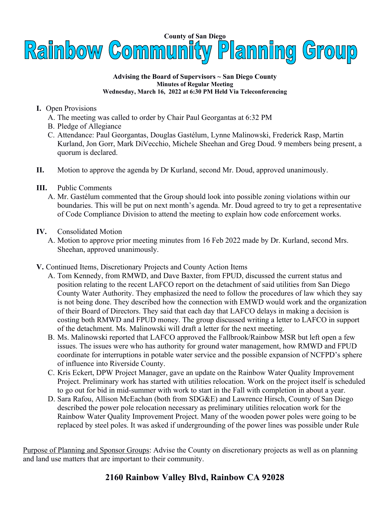

#### **Advising the Board of Supervisors ~ San Diego County Minutes of Regular Meeting Wednesday, March 16, 2022 at 6:30 PM Held Via Teleconferencing**

### **I.** Open Provisions

- A. The meeting was called to order by Chair Paul Georgantas at 6:32 PM
- B. Pledge of Allegiance
- C. Attendance: Paul Georgantas, Douglas Gastélum, Lynne Malinowski, Frederick Rasp, Martin Kurland, Jon Gorr, Mark DiVecchio, Michele Sheehan and Greg Doud. 9 members being present, a quorum is declared.
- **II.** Motion to approve the agenda by Dr Kurland, second Mr. Doud, approved unanimously.
- **III.** Public Comments
	- A. Mr. Gastélum commented that the Group should look into possible zoning violations within our boundaries. This will be put on next month's agenda. Mr. Doud agreed to try to get a representative of Code Compliance Division to attend the meeting to explain how code enforcement works.
- **IV.** Consolidated Motion
	- A. Motion to approve prior meeting minutes from 16 Feb 2022 made by Dr. Kurland, second Mrs. Sheehan, approved unanimously.
- **V.** Continued Items, Discretionary Projects and County Action Items
	- A. Tom Kennedy, from RMWD, and Dave Baxter, from FPUD, discussed the current status and position relating to the recent LAFCO report on the detachment of said utilities from San Diego County Water Authority. They emphasized the need to follow the procedures of law which they say is not being done. They described how the connection with EMWD would work and the organization of their Board of Directors. They said that each day that LAFCO delays in making a decision is costing both RMWD and FPUD money. The group discussed writing a letter to LAFCO in support of the detachment. Ms. Malinowski will draft a letter for the next meeting.
	- B. Ms. Malinowski reported that LAFCO approved the Fallbrook/Rainbow MSR but left open a few issues. The issues were who has authority for ground water management, how RMWD and FPUD coordinate for interruptions in potable water service and the possible expansion of NCFPD's sphere of influence into Riverside County.
	- C. Kris Eckert, DPW Project Manager, gave an update on the Rainbow Water Quality Improvement Project. Preliminary work has started with utilities relocation. Work on the project itself is scheduled to go out for bid in mid-summer with work to start in the Fall with completion in about a year.
	- D. Sara Rafou, Allison McEachan (both from SDG&E) and Lawrence Hirsch, County of San Diego described the power pole relocation necessary as preliminary utilities relocation work for the Rainbow Water Quality Improvement Project. Many of the wooden power poles were going to be replaced by steel poles. It was asked if undergrounding of the power lines was possible under [Rule](https://www.sdge.com/major-projects/Rule20Undergrounding)

Purpose of Planning and Sponsor Groups: Advise the County on discretionary projects as well as on planning and land use matters that are important to their community.

# **2160 Rainbow Valley Blvd, Rainbow CA 92028**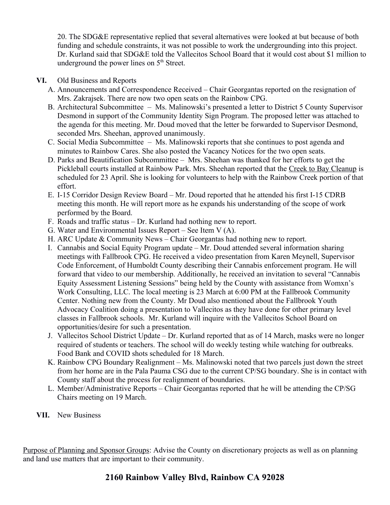[20](https://www.sdge.com/major-projects/Rule20Undergrounding). The SDG&E representative replied that several alternatives were looked at but because of both funding and schedule constraints, it was not possible to work the undergrounding into this project. Dr. Kurland said that SDG&E told the Vallecitos School Board that it would cost about \$1 million to underground the power lines on  $5<sup>th</sup>$  Street.

### **VI.** Old Business and Reports

- A. Announcements and Correspondence Received Chair Georgantas reported on the resignation of Mrs. Zakrajsek. There are now two open seats on the Rainbow CPG.
- B. Architectural Subcommittee Ms. Malinowski's presented a letter to District 5 County Supervisor Desmond in support of the Community Identity Sign Program. The proposed letter was attached to the agenda for this meeting. Mr. Doud moved that the letter be forwarded to Supervisor Desmond, seconded Mrs. Sheehan, approved unanimously.
- C. Social Media Subcommittee Ms. Malinowski reports that she continues to post agenda and minutes to Rainbow Cares. She also posted the Vacancy Notices for the two open seats.
- D. Parks and Beautification Subcommittee Mrs. Sheehan was thanked for her efforts to get the Pickleball courts installed at Rainbow Park. Mrs. Sheehan reported that the [Creek to Bay Cleanup](https://creektobay.org/) is scheduled for 23 April. She is looking for volunteers to help with the Rainbow Creek portion of that effort.
- E. I-15 Corridor Design Review Board Mr. Doud reported that he attended his first I-15 CDRB meeting this month. He will report more as he expands his understanding of the scope of work performed by the Board.
- F. Roads and traffic status Dr. Kurland had nothing new to report.
- G. Water and Environmental Issues Report See Item V (A).
- H. ARC Update & Community News Chair Georgantas had nothing new to report.
- I. Cannabis and Social Equity Program update Mr. Doud attended several information sharing meetings with Fallbrook CPG. He received a video presentation from Karen Meynell, Supervisor Code Enforcement, of Humboldt County describing their Cannabis enforcement program. He will forward that video to our membership. Additionally, he received an invitation to several "Cannabis Equity Assessment Listening Sessions" being held by the County with assistance from Womxn's Work Consulting, LLC. The local meeting is 23 March at 6:00 PM at the Fallbrook Community Center. Nothing new from the County. Mr Doud also mentioned about the Fallbrook Youth Advocacy Coalition doing a presentation to Vallecitos as they have done for other primary level classes in Fallbrook schools. Mr. Kurland will inquire with the Vallecitos School Board on opportunities/desire for such a presentation.
- J. Vallecitos School District Update Dr. Kurland reported that as of 14 March, masks were no longer required of students or teachers. The school will do weekly testing while watching for outbreaks. Food Bank and COVID shots scheduled for 18 March.
- K. Rainbow CPG Boundary Realignment Ms. Malinowski noted that two parcels just down the street from her home are in the Pala Pauma CSG due to the current CP/SG boundary. She is in contact with County staff about the process for realignment of boundaries.
- L. Member/Administrative Reports Chair Georgantas reported that he will be attending the CP/SG Chairs meeting on 19 March.
- **VII.** New Business

Purpose of Planning and Sponsor Groups: Advise the County on discretionary projects as well as on planning and land use matters that are important to their community.

## **2160 Rainbow Valley Blvd, Rainbow CA 92028**